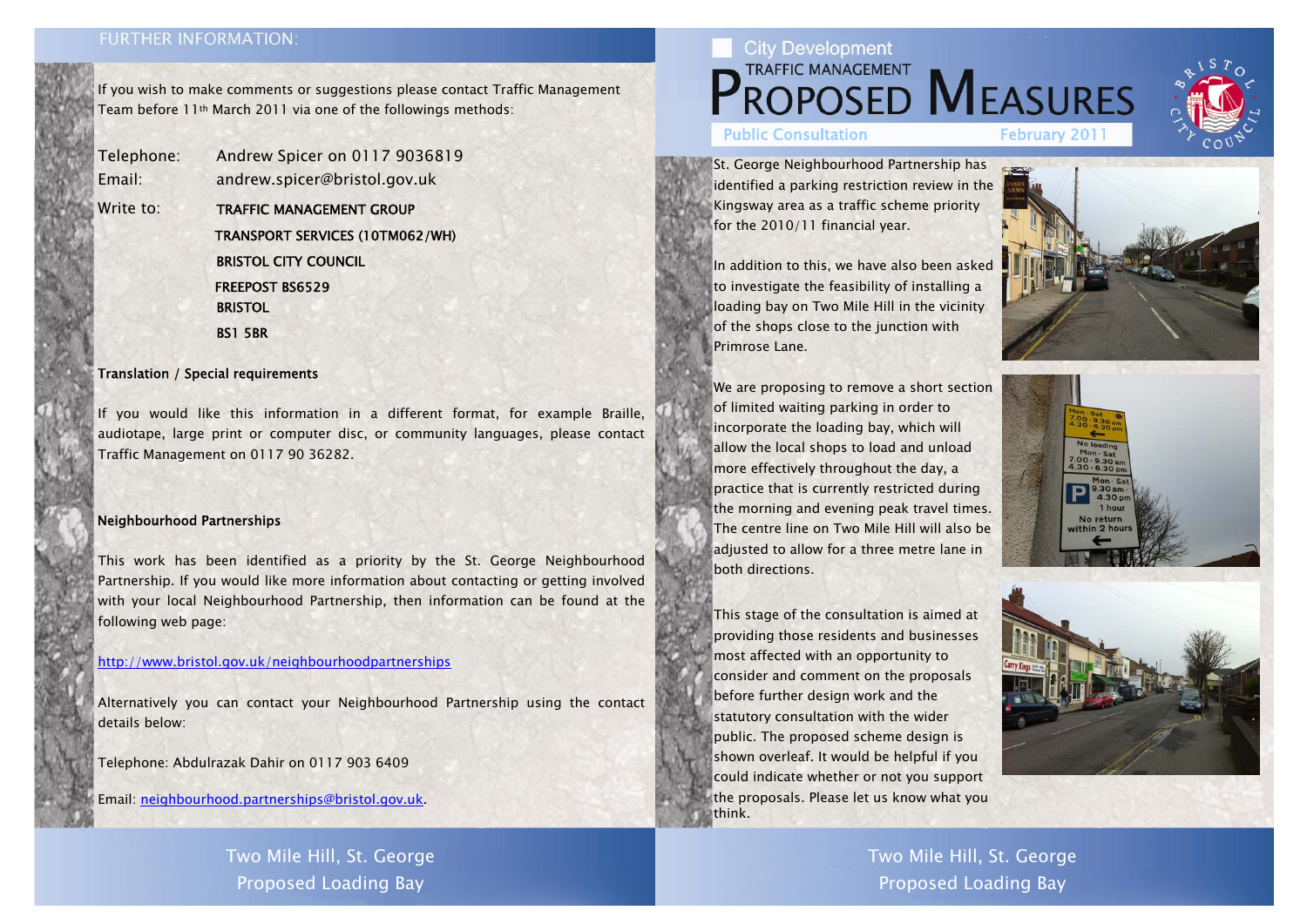## **FURTHER INFORMATION:**

If you wish to make comments or suggestions please contact Traffic Management Team before 11th March 2011 via one of the followings methods:

Telephone: Andrew Spicer on 0117 9036819 Email: andrew.spicer@bristol.gov.uk Write to: TRAFFIC MANAGEMENT GROUP

TRANSPORT SERVICES (10TM062/WH)

BRISTOL CITY COUNCIL

FREEPOST BS6529

**BRISTOL** 

BS1 5BR

### Translation / Special requirements

If you would like this information in a different format, for example Braille, audiotape, large print or computer disc, or community languages, please contact Traffic Management on 0117 90 36282.

### Neighbourhood Partnerships

This work has been identified as a priority by the St. George Neighbourhood Partnership. If you would like more information about contacting or getting involved with your local Neighbourhood Partnership, then information can be found at the following web page:

#### http://www.bristol.gov.uk/neighbourhoodpartnerships

Alternatively you can contact your Neighbourhood Partnership using the contact details below:

Telephone: Abdulrazak Dahir on 0117 903 6409

Email: neighbourhood.partnerships@bristol.gov.uk.

St. George Neighbourhood Partnership has identified a parking restriction review in the Kingsway area as a traffic scheme priority for the 2010/11 financial year.

In addition to this, we have also been asked to investigate the feasibility of installing a loading bay on Two Mile Hill in the vicinity of the shops close to the junction with Primrose Lane.

We are proposing to remove a short section of limited waiting parking in order to incorporate the loading bay, which will allow the local shops to load and unload more effectively throughout the day, a practice that is currently restricted during the morning and evening peak travel times. The centre line on Two Mile Hill will also be adjusted to allow for a three metre lane in both directions.

This stage of the consultation is aimed at providing those residents and businesses most affected with an opportunity to consider and comment on the proposals before further design work and the statutory consultation with the wider public. The proposed scheme design is shown overleaf. It would be helpful if you could indicate whether or not you support the proposals. Please let us know what you think.

Two Mile Hill, St. George Proposed Loading Bay

# **City Development** TRAFFIC MANAGEMENT MEASURES Public Consultation February 201

Two Mile Hill, St. George Proposed Loading Bay